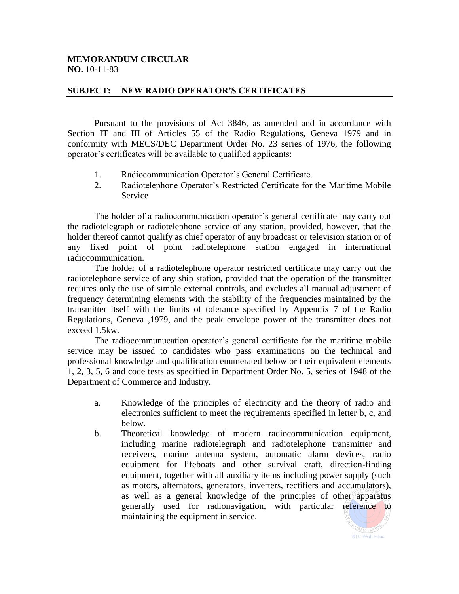## **MEMORANDUM CIRCULAR NO.** 10-11-83

## **SUBJECT: NEW RADIO OPERATOR'S CERTIFICATES**

Pursuant to the provisions of Act 3846, as amended and in accordance with Section IT and III of Articles 55 of the Radio Regulations, Geneva 1979 and in conformity with MECS/DEC Department Order No. 23 series of 1976, the following operator's certificates will be available to qualified applicants:

- 1. Radiocommunication Operator's General Certificate.
- 2. Radiotelephone Operator's Restricted Certificate for the Maritime Mobile Service

The holder of a radiocommunication operator's general certificate may carry out the radiotelegraph or radiotelephone service of any station, provided, however, that the holder thereof cannot qualify as chief operator of any broadcast or television station or of any fixed point of point radiotelephone station engaged in international radiocommunication.

The holder of a radiotelephone operator restricted certificate may carry out the radiotelephone service of any ship station, provided that the operation of the transmitter requires only the use of simple external controls, and excludes all manual adjustment of frequency determining elements with the stability of the frequencies maintained by the transmitter itself with the limits of tolerance specified by Appendix 7 of the Radio Regulations, Geneva ,1979, and the peak envelope power of the transmitter does not exceed 1.5kw.

The radiocommunucation operator's general certificate for the maritime mobile service may be issued to candidates who pass examinations on the technical and professional knowledge and qualification enumerated below or their equivalent elements 1, 2, 3, 5, 6 and code tests as specified in Department Order No. 5, series of 1948 of the Department of Commerce and Industry.

- a. Knowledge of the principles of electricity and the theory of radio and electronics sufficient to meet the requirements specified in letter b, c, and below.
- b. Theoretical knowledge of modern radiocommunication equipment, including marine radiotelegraph and radiotelephone transmitter and receivers, marine antenna system, automatic alarm devices, radio equipment for lifeboats and other survival craft, direction-finding equipment, together with all auxiliary items including power supply (such as motors, alternators, generators, inverters, rectifiers and accumulators), as well as a general knowledge of the principles of other apparatus generally used for radionavigation, with particular reference to maintaining the equipment in service.

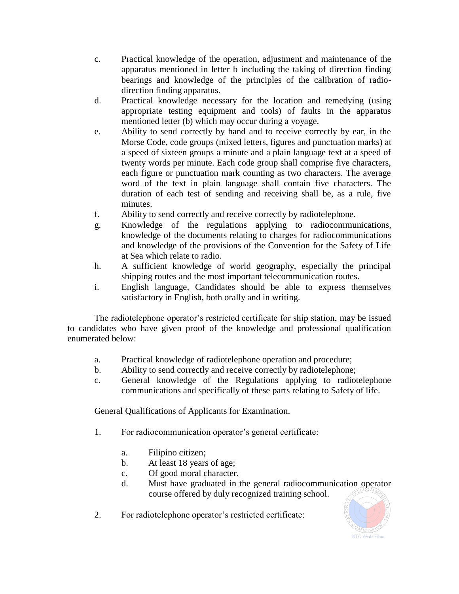- c. Practical knowledge of the operation, adjustment and maintenance of the apparatus mentioned in letter b including the taking of direction finding bearings and knowledge of the principles of the calibration of radiodirection finding apparatus.
- d. Practical knowledge necessary for the location and remedying (using appropriate testing equipment and tools) of faults in the apparatus mentioned letter (b) which may occur during a voyage.
- e. Ability to send correctly by hand and to receive correctly by ear, in the Morse Code, code groups (mixed letters, figures and punctuation marks) at a speed of sixteen groups a minute and a plain language text at a speed of twenty words per minute. Each code group shall comprise five characters, each figure or punctuation mark counting as two characters. The average word of the text in plain language shall contain five characters. The duration of each test of sending and receiving shall be, as a rule, five minutes.
- f. Ability to send correctly and receive correctly by radiotelephone.
- g. Knowledge of the regulations applying to radiocommunications, knowledge of the documents relating to charges for radiocommunications and knowledge of the provisions of the Convention for the Safety of Life at Sea which relate to radio.
- h. A sufficient knowledge of world geography, especially the principal shipping routes and the most important telecommunication routes.
- i. English language, Candidates should be able to express themselves satisfactory in English, both orally and in writing.

The radiotelephone operator's restricted certificate for ship station, may be issued to candidates who have given proof of the knowledge and professional qualification enumerated below:

- a. Practical knowledge of radiotelephone operation and procedure;
- b. Ability to send correctly and receive correctly by radiotelephone;
- c. General knowledge of the Regulations applying to radiotelephone communications and specifically of these parts relating to Safety of life.

General Qualifications of Applicants for Examination.

- 1. For radiocommunication operator's general certificate:
	- a. Filipino citizen;
	- b. At least 18 years of age;
	- c. Of good moral character.
	- d. Must have graduated in the general radiocommunication operator course offered by duly recognized training school.
- 2. For radiotelephone operator's restricted certificate: